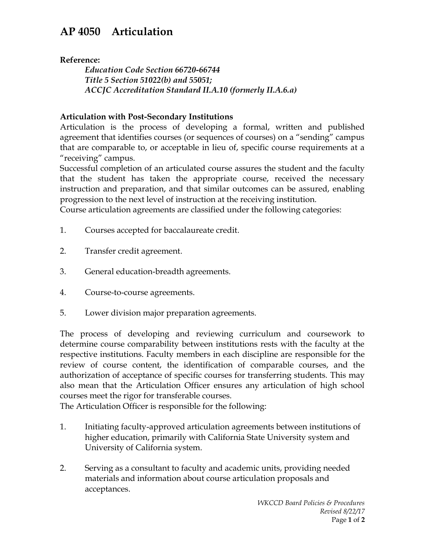## **AP 4050 Articulation**

**Reference:** 

*Education Code Section 66720-66744 Title 5 Section 51022(b) and 55051; ACCJC Accreditation Standard II.A.10 (formerly II.A.6.a)*

## **Articulation with Post-Secondary Institutions**

Articulation is the process of developing a formal, written and published agreement that identifies courses (or sequences of courses) on a "sending" campus that are comparable to, or acceptable in lieu of, specific course requirements at a "receiving" campus.

Successful completion of an articulated course assures the student and the faculty that the student has taken the appropriate course, received the necessary instruction and preparation, and that similar outcomes can be assured, enabling progression to the next level of instruction at the receiving institution.

Course articulation agreements are classified under the following categories:

- 1. Courses accepted for baccalaureate credit.
- 2. Transfer credit agreement.
- 3. General education-breadth agreements.
- 4. Course-to-course agreements.
- 5. Lower division major preparation agreements.

The process of developing and reviewing curriculum and coursework to determine course comparability between institutions rests with the faculty at the respective institutions. Faculty members in each discipline are responsible for the review of course content, the identification of comparable courses, and the authorization of acceptance of specific courses for transferring students. This may also mean that the Articulation Officer ensures any articulation of high school courses meet the rigor for transferable courses.

The Articulation Officer is responsible for the following:

- 1. Initiating faculty-approved articulation agreements between institutions of higher education, primarily with California State University system and University of California system.
- 2. Serving as a consultant to faculty and academic units, providing needed materials and information about course articulation proposals and acceptances.